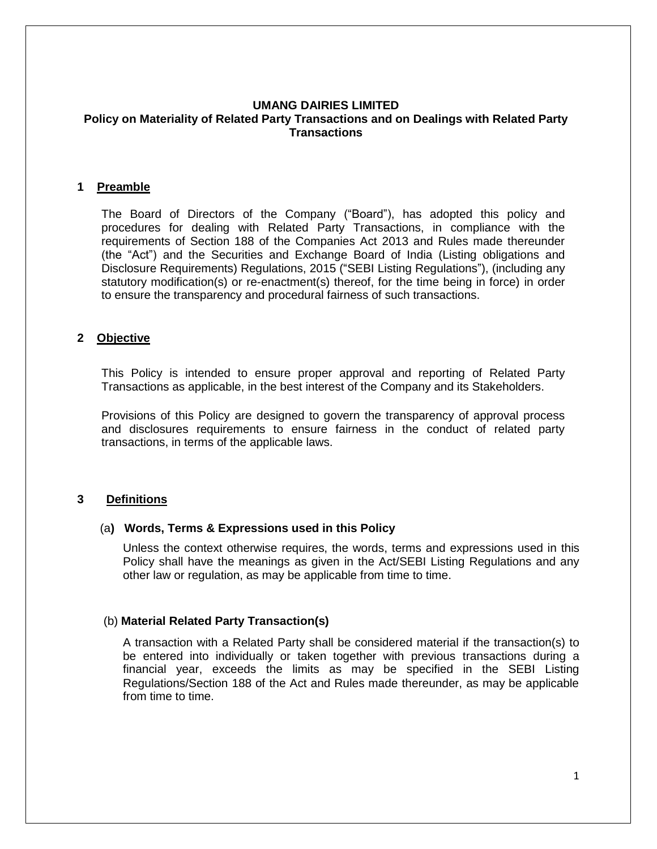### **UMANG DAIRIES LIMITED Policy on Materiality of Related Party Transactions and on Dealings with Related Party Transactions**

#### **1 Preamble**

The Board of Directors of the Company ("Board"), has adopted this policy and procedures for dealing with Related Party Transactions, in compliance with the requirements of Section 188 of the Companies Act 2013 and Rules made thereunder (the "Act") and the Securities and Exchange Board of India (Listing obligations and Disclosure Requirements) Regulations, 2015 ("SEBI Listing Regulations"), (including any statutory modification(s) or re-enactment(s) thereof, for the time being in force) in order to ensure the transparency and procedural fairness of such transactions.

#### **2 Objective**

This Policy is intended to ensure proper approval and reporting of Related Party Transactions as applicable, in the best interest of the Company and its Stakeholders.

Provisions of this Policy are designed to govern the transparency of approval process and disclosures requirements to ensure fairness in the conduct of related party transactions, in terms of the applicable laws.

#### **3 Definitions**

#### (a**) Words, Terms & Expressions used in this Policy**

Unless the context otherwise requires, the words, terms and expressions used in this Policy shall have the meanings as given in the Act/SEBI Listing Regulations and any other law or regulation, as may be applicable from time to time.

#### (b) **Material Related Party Transaction(s)**

A transaction with a Related Party shall be considered material if the transaction(s) to be entered into individually or taken together with previous transactions during a financial year, exceeds the limits as may be specified in the SEBI Listing Regulations/Section 188 of the Act and Rules made thereunder, as may be applicable from time to time.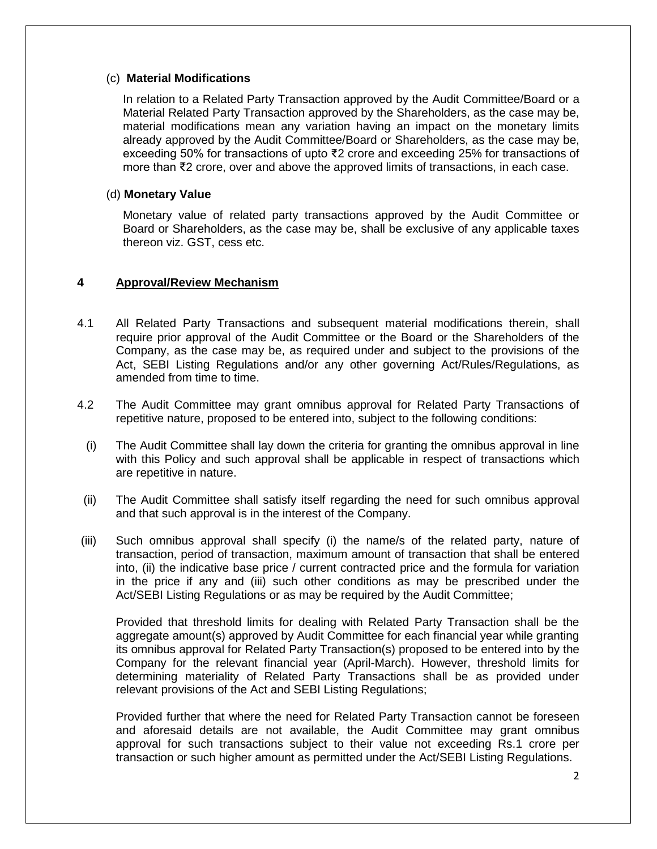### (c) **Material Modifications**

In relation to a Related Party Transaction approved by the Audit Committee/Board or a Material Related Party Transaction approved by the Shareholders, as the case may be, material modifications mean any variation having an impact on the monetary limits already approved by the Audit Committee/Board or Shareholders, as the case may be, exceeding 50% for transactions of upto ₹2 crore and exceeding 25% for transactions of more than ₹2 crore, over and above the approved limits of transactions, in each case.

# (d) **Monetary Value**

Monetary value of related party transactions approved by the Audit Committee or Board or Shareholders, as the case may be, shall be exclusive of any applicable taxes thereon viz. GST, cess etc.

## **4 Approval/Review Mechanism**

- 4.1 All Related Party Transactions and subsequent material modifications therein, shall require prior approval of the Audit Committee or the Board or the Shareholders of the Company, as the case may be, as required under and subject to the provisions of the Act, SEBI Listing Regulations and/or any other governing Act/Rules/Regulations, as amended from time to time.
- 4.2 The Audit Committee may grant omnibus approval for Related Party Transactions of repetitive nature, proposed to be entered into, subject to the following conditions:
	- (i) The Audit Committee shall lay down the criteria for granting the omnibus approval in line with this Policy and such approval shall be applicable in respect of transactions which are repetitive in nature.
- (ii) The Audit Committee shall satisfy itself regarding the need for such omnibus approval and that such approval is in the interest of the Company.
- (iii) Such omnibus approval shall specify (i) the name/s of the related party, nature of transaction, period of transaction, maximum amount of transaction that shall be entered into, (ii) the indicative base price / current contracted price and the formula for variation in the price if any and (iii) such other conditions as may be prescribed under the Act/SEBI Listing Regulations or as may be required by the Audit Committee;

Provided that threshold limits for dealing with Related Party Transaction shall be the aggregate amount(s) approved by Audit Committee for each financial year while granting its omnibus approval for Related Party Transaction(s) proposed to be entered into by the Company for the relevant financial year (April-March). However, threshold limits for determining materiality of Related Party Transactions shall be as provided under relevant provisions of the Act and SEBI Listing Regulations;

Provided further that where the need for Related Party Transaction cannot be foreseen and aforesaid details are not available, the Audit Committee may grant omnibus approval for such transactions subject to their value not exceeding Rs.1 crore per transaction or such higher amount as permitted under the Act/SEBI Listing Regulations.